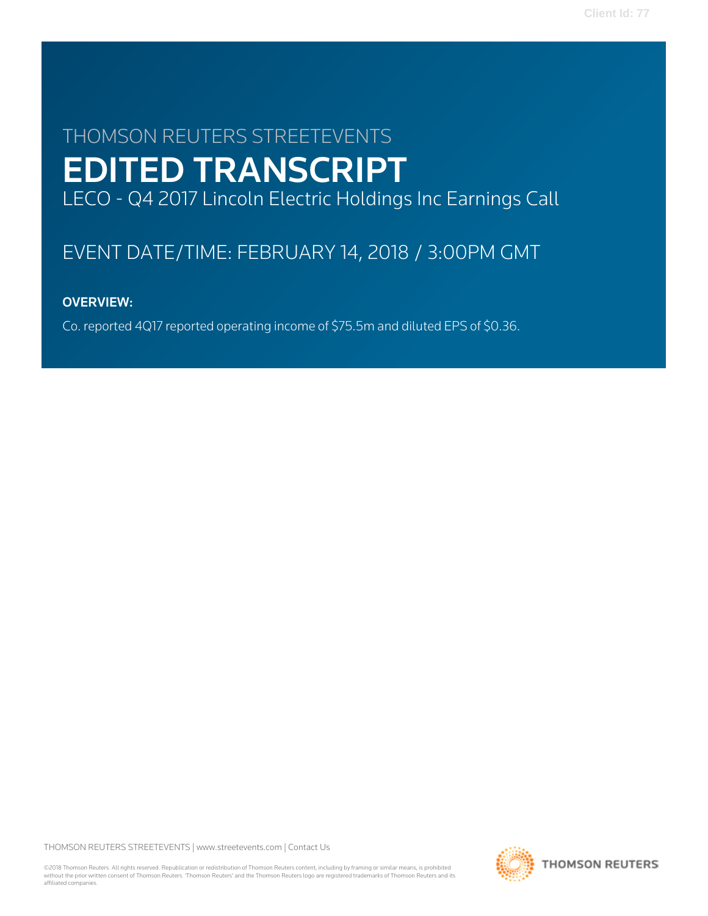# THOMSON REUTERS STREETEVENTS EDITED TRANSCRIPT LECO - Q4 2017 Lincoln Electric Holdings Inc Earnings Call

# EVENT DATE/TIME: FEBRUARY 14, 2018 / 3:00PM GMT

# OVERVIEW:

Co. reported 4Q17 reported operating income of \$75.5m and diluted EPS of \$0.36.

THOMSON REUTERS STREETEVENTS | [www.streetevents.com](http://www.streetevents.com) | [Contact Us](http://www010.streetevents.com/contact.asp)

©2018 Thomson Reuters. All rights reserved. Republication or redistribution of Thomson Reuters content, including by framing or similar means, is prohibited without the prior written consent of Thomson Reuters. 'Thomson Reuters' and the Thomson Reuters logo are registered trademarks of Thomson Reuters and its affiliated companies.

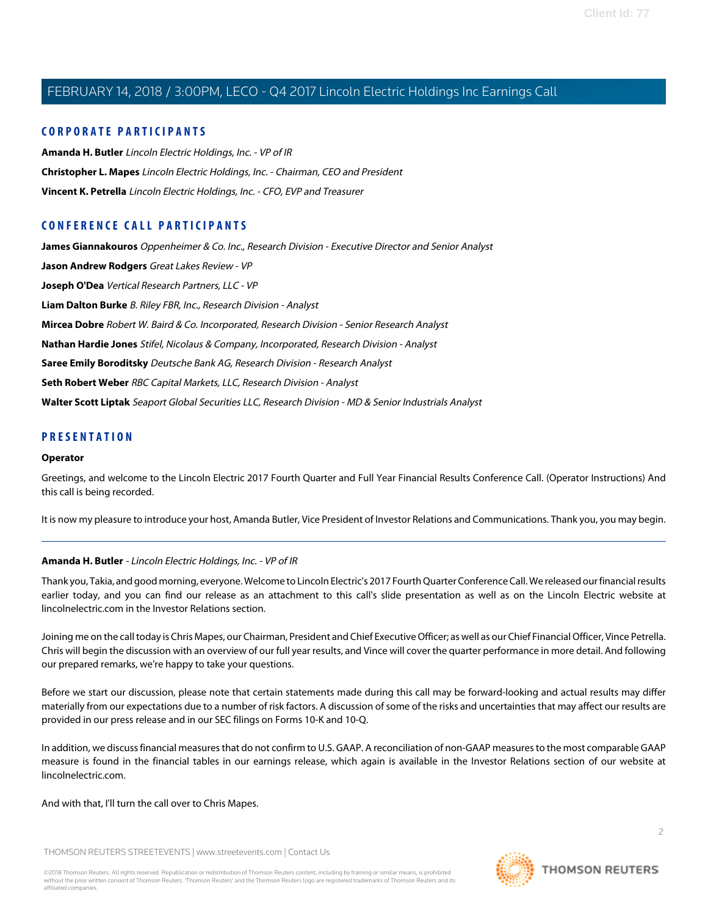# **CORPORATE PARTICIPANTS**

**[Amanda H. Butler](#page-1-0)** Lincoln Electric Holdings, Inc. - VP of IR **[Christopher L. Mapes](#page-2-0)** Lincoln Electric Holdings, Inc. - Chairman, CEO and President **[Vincent K. Petrella](#page-3-0)** Lincoln Electric Holdings, Inc. - CFO, EVP and Treasurer

# **CONFERENCE CALL PARTICIPANTS**

**[James Giannakouros](#page-8-0)** Oppenheimer & Co. Inc., Research Division - Executive Director and Senior Analyst **[Jason Andrew Rodgers](#page-5-0)** Great Lakes Review - VP **[Joseph O'Dea](#page-4-0)** Vertical Research Partners, LLC - VP **[Liam Dalton Burke](#page-14-0)** B. Riley FBR, Inc., Research Division - Analyst **[Mircea Dobre](#page-12-0)** Robert W. Baird & Co. Incorporated, Research Division - Senior Research Analyst **[Nathan Hardie Jones](#page-7-0)** Stifel, Nicolaus & Company, Incorporated, Research Division - Analyst **[Saree Emily Boroditsky](#page-6-0)** Deutsche Bank AG, Research Division - Research Analyst **[Seth Robert Weber](#page-11-0)** RBC Capital Markets, LLC, Research Division - Analyst **[Walter Scott Liptak](#page-9-0)** Seaport Global Securities LLC, Research Division - MD & Senior Industrials Analyst

# **PRESENTATION**

### **Operator**

Greetings, and welcome to the Lincoln Electric 2017 Fourth Quarter and Full Year Financial Results Conference Call. (Operator Instructions) And this call is being recorded.

<span id="page-1-0"></span>It is now my pleasure to introduce your host, Amanda Butler, Vice President of Investor Relations and Communications. Thank you, you may begin.

# **Amanda H. Butler** - Lincoln Electric Holdings, Inc. - VP of IR

Thank you, Takia, and good morning, everyone. Welcome to Lincoln Electric's 2017 Fourth Quarter Conference Call. We released our financial results earlier today, and you can find our release as an attachment to this call's slide presentation as well as on the Lincoln Electric website at lincolnelectric.com in the Investor Relations section.

Joining me on the call today is Chris Mapes, our Chairman, President and Chief Executive Officer; as well as our Chief Financial Officer, Vince Petrella. Chris will begin the discussion with an overview of our full year results, and Vince will cover the quarter performance in more detail. And following our prepared remarks, we're happy to take your questions.

Before we start our discussion, please note that certain statements made during this call may be forward-looking and actual results may differ materially from our expectations due to a number of risk factors. A discussion of some of the risks and uncertainties that may affect our results are provided in our press release and in our SEC filings on Forms 10-K and 10-Q.

In addition, we discuss financial measures that do not confirm to U.S. GAAP. A reconciliation of non-GAAP measures to the most comparable GAAP measure is found in the financial tables in our earnings release, which again is available in the Investor Relations section of our website at lincolnelectric.com.

### And with that, I'll turn the call over to Chris Mapes.

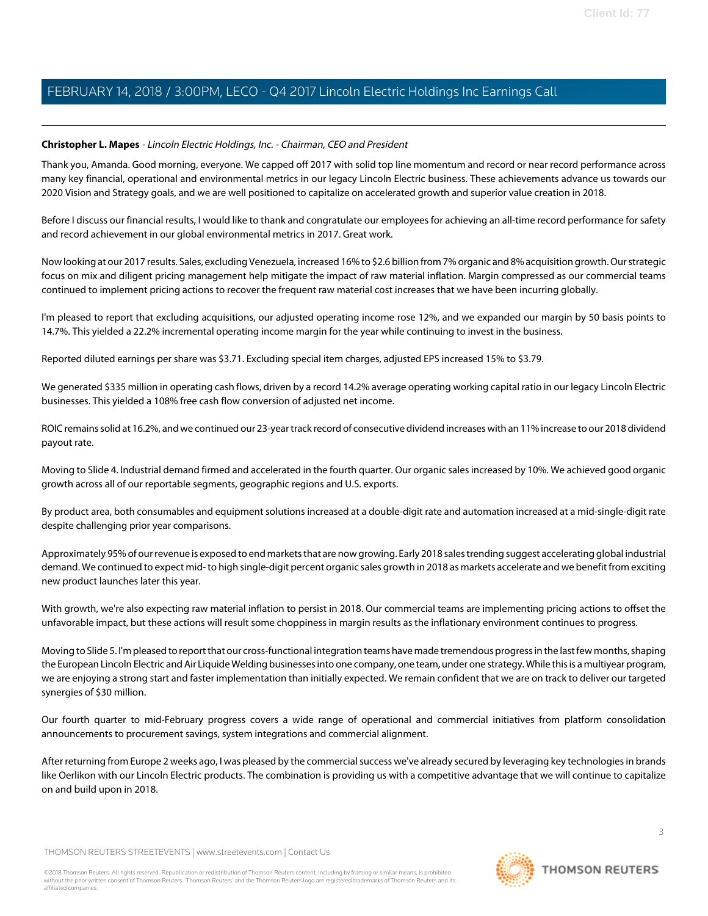# <span id="page-2-0"></span>**Christopher L. Mapes** - Lincoln Electric Holdings, Inc. - Chairman, CEO and President

Thank you, Amanda. Good morning, everyone. We capped off 2017 with solid top line momentum and record or near record performance across many key financial, operational and environmental metrics in our legacy Lincoln Electric business. These achievements advance us towards our 2020 Vision and Strategy goals, and we are well positioned to capitalize on accelerated growth and superior value creation in 2018.

Before I discuss our financial results, I would like to thank and congratulate our employees for achieving an all-time record performance for safety and record achievement in our global environmental metrics in 2017. Great work.

Now looking at our 2017 results. Sales, excluding Venezuela, increased 16% to \$2.6 billion from 7% organic and 8% acquisition growth. Our strategic focus on mix and diligent pricing management help mitigate the impact of raw material inflation. Margin compressed as our commercial teams continued to implement pricing actions to recover the frequent raw material cost increases that we have been incurring globally.

I'm pleased to report that excluding acquisitions, our adjusted operating income rose 12%, and we expanded our margin by 50 basis points to 14.7%. This yielded a 22.2% incremental operating income margin for the year while continuing to invest in the business.

Reported diluted earnings per share was \$3.71. Excluding special item charges, adjusted EPS increased 15% to \$3.79.

We generated \$335 million in operating cash flows, driven by a record 14.2% average operating working capital ratio in our legacy Lincoln Electric businesses. This yielded a 108% free cash flow conversion of adjusted net income.

ROIC remains solid at 16.2%, and we continued our 23-year track record of consecutive dividend increases with an 11% increase to our 2018 dividend payout rate.

Moving to Slide 4. Industrial demand firmed and accelerated in the fourth quarter. Our organic sales increased by 10%. We achieved good organic growth across all of our reportable segments, geographic regions and U.S. exports.

By product area, both consumables and equipment solutions increased at a double-digit rate and automation increased at a mid-single-digit rate despite challenging prior year comparisons.

Approximately 95% of our revenue is exposed to end markets that are now growing. Early 2018 sales trending suggest accelerating global industrial demand. We continued to expect mid- to high single-digit percent organic sales growth in 2018 as markets accelerate and we benefit from exciting new product launches later this year.

With growth, we're also expecting raw material inflation to persist in 2018. Our commercial teams are implementing pricing actions to offset the unfavorable impact, but these actions will result some choppiness in margin results as the inflationary environment continues to progress.

Moving to Slide 5. I'm pleased to report that our cross-functional integration teams have made tremendous progress in the last few months, shaping the European Lincoln Electric and Air Liquide Welding businesses into one company, one team, under one strategy. While this is a multiyear program, we are enjoying a strong start and faster implementation than initially expected. We remain confident that we are on track to deliver our targeted synergies of \$30 million.

Our fourth quarter to mid-February progress covers a wide range of operational and commercial initiatives from platform consolidation announcements to procurement savings, system integrations and commercial alignment.

After returning from Europe 2 weeks ago, I was pleased by the commercial success we've already secured by leveraging key technologies in brands like Oerlikon with our Lincoln Electric products. The combination is providing us with a competitive advantage that we will continue to capitalize on and build upon in 2018.

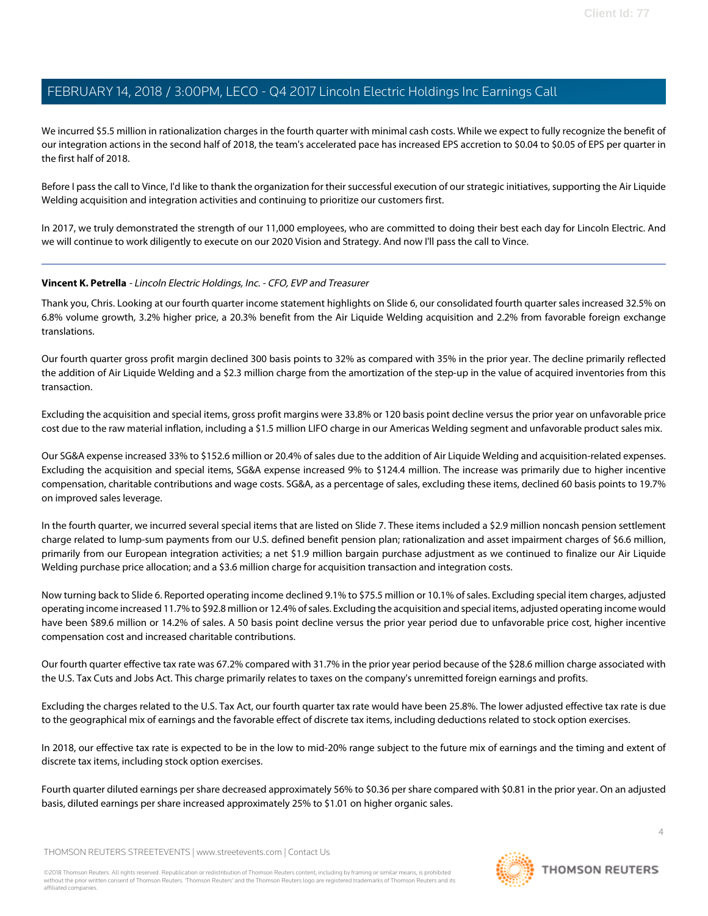We incurred \$5.5 million in rationalization charges in the fourth quarter with minimal cash costs. While we expect to fully recognize the benefit of our integration actions in the second half of 2018, the team's accelerated pace has increased EPS accretion to \$0.04 to \$0.05 of EPS per quarter in the first half of 2018.

Before I pass the call to Vince, I'd like to thank the organization for their successful execution of our strategic initiatives, supporting the Air Liquide Welding acquisition and integration activities and continuing to prioritize our customers first.

In 2017, we truly demonstrated the strength of our 11,000 employees, who are committed to doing their best each day for Lincoln Electric. And we will continue to work diligently to execute on our 2020 Vision and Strategy. And now I'll pass the call to Vince.

# <span id="page-3-0"></span>**Vincent K. Petrella** - Lincoln Electric Holdings, Inc. - CFO, EVP and Treasurer

Thank you, Chris. Looking at our fourth quarter income statement highlights on Slide 6, our consolidated fourth quarter sales increased 32.5% on 6.8% volume growth, 3.2% higher price, a 20.3% benefit from the Air Liquide Welding acquisition and 2.2% from favorable foreign exchange translations.

Our fourth quarter gross profit margin declined 300 basis points to 32% as compared with 35% in the prior year. The decline primarily reflected the addition of Air Liquide Welding and a \$2.3 million charge from the amortization of the step-up in the value of acquired inventories from this transaction.

Excluding the acquisition and special items, gross profit margins were 33.8% or 120 basis point decline versus the prior year on unfavorable price cost due to the raw material inflation, including a \$1.5 million LIFO charge in our Americas Welding segment and unfavorable product sales mix.

Our SG&A expense increased 33% to \$152.6 million or 20.4% of sales due to the addition of Air Liquide Welding and acquisition-related expenses. Excluding the acquisition and special items, SG&A expense increased 9% to \$124.4 million. The increase was primarily due to higher incentive compensation, charitable contributions and wage costs. SG&A, as a percentage of sales, excluding these items, declined 60 basis points to 19.7% on improved sales leverage.

In the fourth quarter, we incurred several special items that are listed on Slide 7. These items included a \$2.9 million noncash pension settlement charge related to lump-sum payments from our U.S. defined benefit pension plan; rationalization and asset impairment charges of \$6.6 million, primarily from our European integration activities; a net \$1.9 million bargain purchase adjustment as we continued to finalize our Air Liquide Welding purchase price allocation; and a \$3.6 million charge for acquisition transaction and integration costs.

Now turning back to Slide 6. Reported operating income declined 9.1% to \$75.5 million or 10.1% of sales. Excluding special item charges, adjusted operating income increased 11.7% to \$92.8 million or 12.4% of sales. Excluding the acquisition and special items, adjusted operating income would have been \$89.6 million or 14.2% of sales. A 50 basis point decline versus the prior year period due to unfavorable price cost, higher incentive compensation cost and increased charitable contributions.

Our fourth quarter effective tax rate was 67.2% compared with 31.7% in the prior year period because of the \$28.6 million charge associated with the U.S. Tax Cuts and Jobs Act. This charge primarily relates to taxes on the company's unremitted foreign earnings and profits.

Excluding the charges related to the U.S. Tax Act, our fourth quarter tax rate would have been 25.8%. The lower adjusted effective tax rate is due to the geographical mix of earnings and the favorable effect of discrete tax items, including deductions related to stock option exercises.

In 2018, our effective tax rate is expected to be in the low to mid-20% range subject to the future mix of earnings and the timing and extent of discrete tax items, including stock option exercises.

Fourth quarter diluted earnings per share decreased approximately 56% to \$0.36 per share compared with \$0.81 in the prior year. On an adjusted basis, diluted earnings per share increased approximately 25% to \$1.01 on higher organic sales.

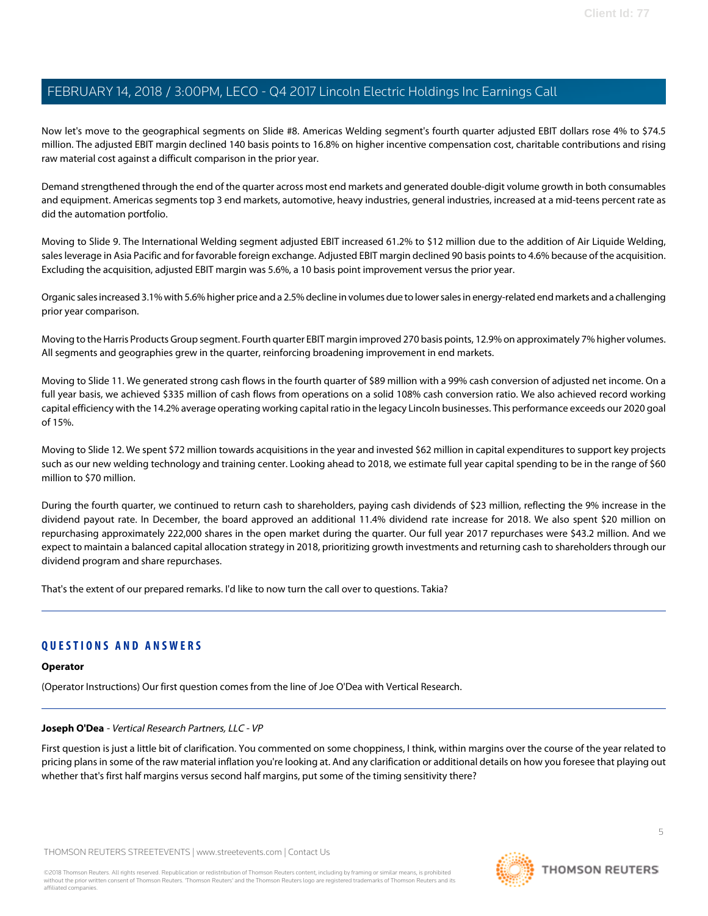Now let's move to the geographical segments on Slide #8. Americas Welding segment's fourth quarter adjusted EBIT dollars rose 4% to \$74.5 million. The adjusted EBIT margin declined 140 basis points to 16.8% on higher incentive compensation cost, charitable contributions and rising raw material cost against a difficult comparison in the prior year.

Demand strengthened through the end of the quarter across most end markets and generated double-digit volume growth in both consumables and equipment. Americas segments top 3 end markets, automotive, heavy industries, general industries, increased at a mid-teens percent rate as did the automation portfolio.

Moving to Slide 9. The International Welding segment adjusted EBIT increased 61.2% to \$12 million due to the addition of Air Liquide Welding, sales leverage in Asia Pacific and for favorable foreign exchange. Adjusted EBIT margin declined 90 basis points to 4.6% because of the acquisition. Excluding the acquisition, adjusted EBIT margin was 5.6%, a 10 basis point improvement versus the prior year.

Organic sales increased 3.1% with 5.6% higher price and a 2.5% decline in volumes due to lower sales in energy-related end markets and a challenging prior year comparison.

Moving to the Harris Products Group segment. Fourth quarter EBIT margin improved 270 basis points, 12.9% on approximately 7% higher volumes. All segments and geographies grew in the quarter, reinforcing broadening improvement in end markets.

Moving to Slide 11. We generated strong cash flows in the fourth quarter of \$89 million with a 99% cash conversion of adjusted net income. On a full year basis, we achieved \$335 million of cash flows from operations on a solid 108% cash conversion ratio. We also achieved record working capital efficiency with the 14.2% average operating working capital ratio in the legacy Lincoln businesses. This performance exceeds our 2020 goal of 15%.

Moving to Slide 12. We spent \$72 million towards acquisitions in the year and invested \$62 million in capital expenditures to support key projects such as our new welding technology and training center. Looking ahead to 2018, we estimate full year capital spending to be in the range of \$60 million to \$70 million.

During the fourth quarter, we continued to return cash to shareholders, paying cash dividends of \$23 million, reflecting the 9% increase in the dividend payout rate. In December, the board approved an additional 11.4% dividend rate increase for 2018. We also spent \$20 million on repurchasing approximately 222,000 shares in the open market during the quarter. Our full year 2017 repurchases were \$43.2 million. And we expect to maintain a balanced capital allocation strategy in 2018, prioritizing growth investments and returning cash to shareholders through our dividend program and share repurchases.

That's the extent of our prepared remarks. I'd like to now turn the call over to questions. Takia?

# **QUESTIONS AND ANSWERS**

# <span id="page-4-0"></span>**Operator**

(Operator Instructions) Our first question comes from the line of Joe O'Dea with Vertical Research.

### **Joseph O'Dea** - Vertical Research Partners, LLC - VP

First question is just a little bit of clarification. You commented on some choppiness, I think, within margins over the course of the year related to pricing plans in some of the raw material inflation you're looking at. And any clarification or additional details on how you foresee that playing out whether that's first half margins versus second half margins, put some of the timing sensitivity there?

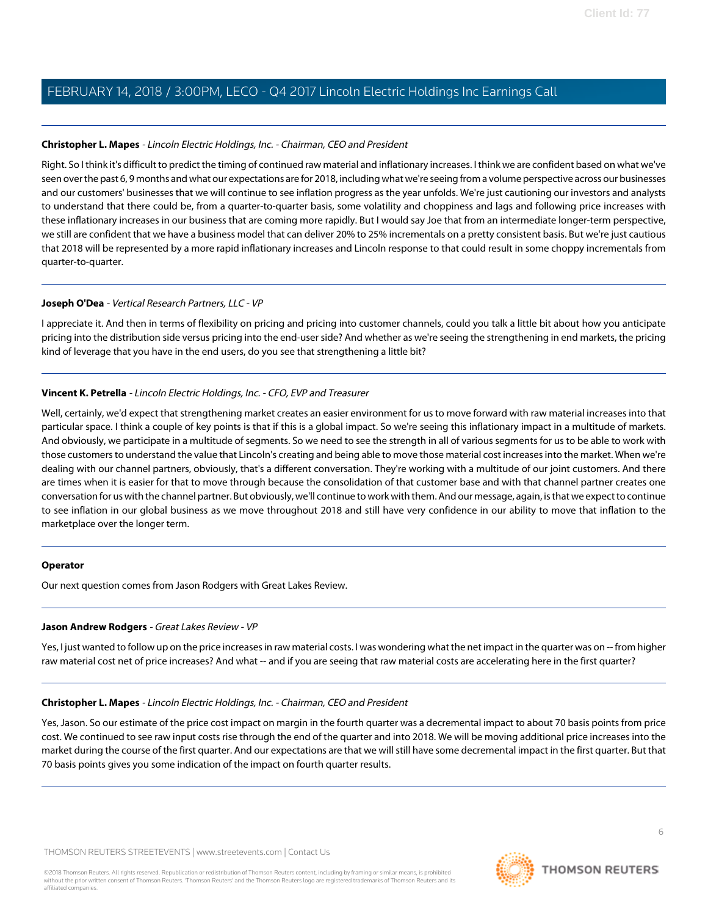# **Christopher L. Mapes** - Lincoln Electric Holdings, Inc. - Chairman, CEO and President

Right. So I think it's difficult to predict the timing of continued raw material and inflationary increases. I think we are confident based on what we've seen over the past 6, 9 months and what our expectations are for 2018, including what we're seeing from a volume perspective across our businesses and our customers' businesses that we will continue to see inflation progress as the year unfolds. We're just cautioning our investors and analysts to understand that there could be, from a quarter-to-quarter basis, some volatility and choppiness and lags and following price increases with these inflationary increases in our business that are coming more rapidly. But I would say Joe that from an intermediate longer-term perspective, we still are confident that we have a business model that can deliver 20% to 25% incrementals on a pretty consistent basis. But we're just cautious that 2018 will be represented by a more rapid inflationary increases and Lincoln response to that could result in some choppy incrementals from quarter-to-quarter.

# **Joseph O'Dea** - Vertical Research Partners, LLC - VP

I appreciate it. And then in terms of flexibility on pricing and pricing into customer channels, could you talk a little bit about how you anticipate pricing into the distribution side versus pricing into the end-user side? And whether as we're seeing the strengthening in end markets, the pricing kind of leverage that you have in the end users, do you see that strengthening a little bit?

# **Vincent K. Petrella** - Lincoln Electric Holdings, Inc. - CFO, EVP and Treasurer

Well, certainly, we'd expect that strengthening market creates an easier environment for us to move forward with raw material increases into that particular space. I think a couple of key points is that if this is a global impact. So we're seeing this inflationary impact in a multitude of markets. And obviously, we participate in a multitude of segments. So we need to see the strength in all of various segments for us to be able to work with those customers to understand the value that Lincoln's creating and being able to move those material cost increases into the market. When we're dealing with our channel partners, obviously, that's a different conversation. They're working with a multitude of our joint customers. And there are times when it is easier for that to move through because the consolidation of that customer base and with that channel partner creates one conversation for us with the channel partner. But obviously, we'll continue to work with them. And our message, again, is that we expect to continue to see inflation in our global business as we move throughout 2018 and still have very confidence in our ability to move that inflation to the marketplace over the longer term.

### <span id="page-5-0"></span>**Operator**

Our next question comes from Jason Rodgers with Great Lakes Review.

### **Jason Andrew Rodgers** - Great Lakes Review - VP

Yes, I just wanted to follow up on the price increases in raw material costs. I was wondering what the net impact in the quarter was on -- from higher raw material cost net of price increases? And what -- and if you are seeing that raw material costs are accelerating here in the first quarter?

### **Christopher L. Mapes** - Lincoln Electric Holdings, Inc. - Chairman, CEO and President

Yes, Jason. So our estimate of the price cost impact on margin in the fourth quarter was a decremental impact to about 70 basis points from price cost. We continued to see raw input costs rise through the end of the quarter and into 2018. We will be moving additional price increases into the market during the course of the first quarter. And our expectations are that we will still have some decremental impact in the first quarter. But that 70 basis points gives you some indication of the impact on fourth quarter results.

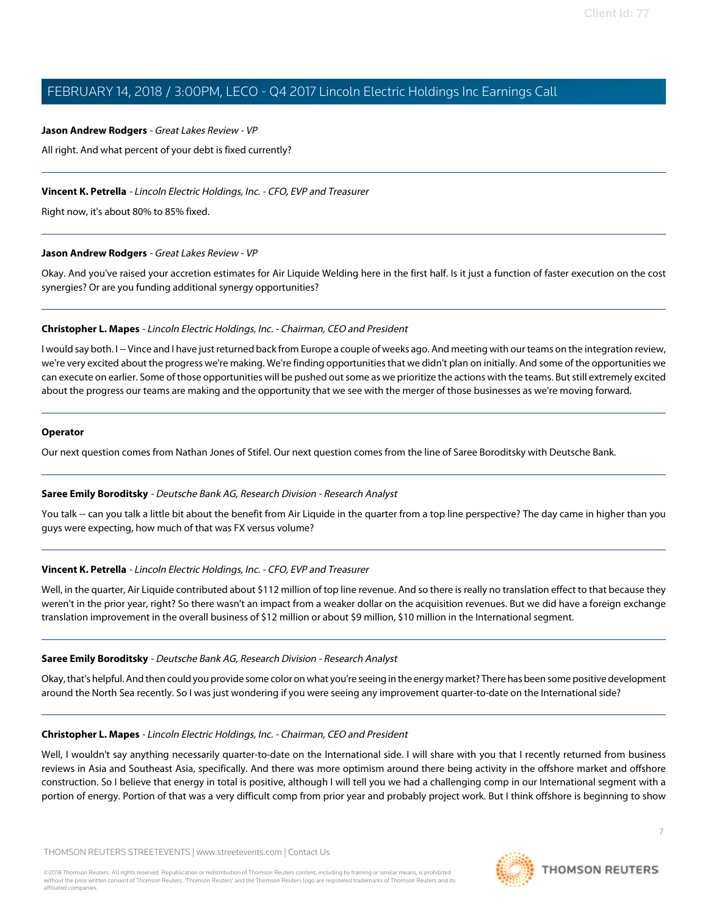#### **Jason Andrew Rodgers** - Great Lakes Review - VP

All right. And what percent of your debt is fixed currently?

### **Vincent K. Petrella** - Lincoln Electric Holdings, Inc. - CFO, EVP and Treasurer

Right now, it's about 80% to 85% fixed.

### **Jason Andrew Rodgers** - Great Lakes Review - VP

Okay. And you've raised your accretion estimates for Air Liquide Welding here in the first half. Is it just a function of faster execution on the cost synergies? Or are you funding additional synergy opportunities?

### **Christopher L. Mapes** - Lincoln Electric Holdings, Inc. - Chairman, CEO and President

I would say both. I-- Vince and I have just returned back from Europe a couple of weeks ago. And meeting with our teams on the integration review, we're very excited about the progress we're making. We're finding opportunities that we didn't plan on initially. And some of the opportunities we can execute on earlier. Some of those opportunities will be pushed out some as we prioritize the actions with the teams. But still extremely excited about the progress our teams are making and the opportunity that we see with the merger of those businesses as we're moving forward.

### **Operator**

<span id="page-6-0"></span>Our next question comes from Nathan Jones of Stifel. Our next question comes from the line of Saree Boroditsky with Deutsche Bank.

### **Saree Emily Boroditsky** - Deutsche Bank AG, Research Division - Research Analyst

You talk -- can you talk a little bit about the benefit from Air Liquide in the quarter from a top line perspective? The day came in higher than you guys were expecting, how much of that was FX versus volume?

### **Vincent K. Petrella** - Lincoln Electric Holdings, Inc. - CFO, EVP and Treasurer

Well, in the quarter, Air Liquide contributed about \$112 million of top line revenue. And so there is really no translation effect to that because they weren't in the prior year, right? So there wasn't an impact from a weaker dollar on the acquisition revenues. But we did have a foreign exchange translation improvement in the overall business of \$12 million or about \$9 million, \$10 million in the International segment.

### **Saree Emily Boroditsky** - Deutsche Bank AG, Research Division - Research Analyst

Okay, that's helpful. And then could you provide some color on what you're seeing in the energy market? There has been some positive development around the North Sea recently. So I was just wondering if you were seeing any improvement quarter-to-date on the International side?

### **Christopher L. Mapes** - Lincoln Electric Holdings, Inc. - Chairman, CEO and President

Well, I wouldn't say anything necessarily quarter-to-date on the International side. I will share with you that I recently returned from business reviews in Asia and Southeast Asia, specifically. And there was more optimism around there being activity in the offshore market and offshore construction. So I believe that energy in total is positive, although I will tell you we had a challenging comp in our International segment with a portion of energy. Portion of that was a very difficult comp from prior year and probably project work. But I think offshore is beginning to show

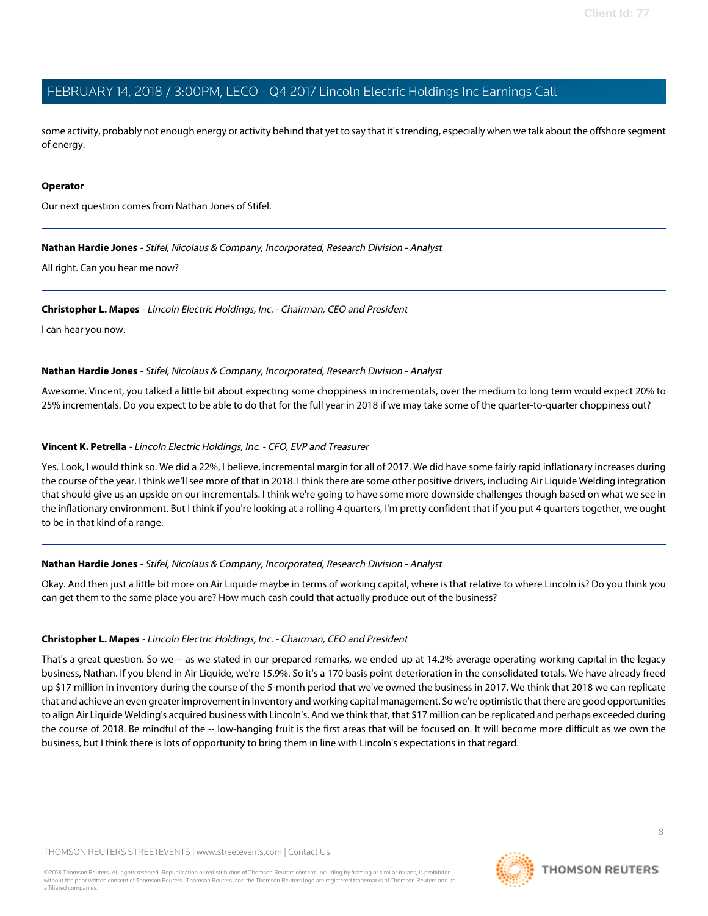some activity, probably not enough energy or activity behind that yet to say that it's trending, especially when we talk about the offshore segment of energy.

#### **Operator**

<span id="page-7-0"></span>Our next question comes from Nathan Jones of Stifel.

**Nathan Hardie Jones** - Stifel, Nicolaus & Company, Incorporated, Research Division - Analyst

All right. Can you hear me now?

#### **Christopher L. Mapes** - Lincoln Electric Holdings, Inc. - Chairman, CEO and President

I can hear you now.

**Nathan Hardie Jones** - Stifel, Nicolaus & Company, Incorporated, Research Division - Analyst

Awesome. Vincent, you talked a little bit about expecting some choppiness in incrementals, over the medium to long term would expect 20% to 25% incrementals. Do you expect to be able to do that for the full year in 2018 if we may take some of the quarter-to-quarter choppiness out?

### **Vincent K. Petrella** - Lincoln Electric Holdings, Inc. - CFO, EVP and Treasurer

Yes. Look, I would think so. We did a 22%, I believe, incremental margin for all of 2017. We did have some fairly rapid inflationary increases during the course of the year. I think we'll see more of that in 2018. I think there are some other positive drivers, including Air Liquide Welding integration that should give us an upside on our incrementals. I think we're going to have some more downside challenges though based on what we see in the inflationary environment. But I think if you're looking at a rolling 4 quarters, I'm pretty confident that if you put 4 quarters together, we ought to be in that kind of a range.

### **Nathan Hardie Jones** - Stifel, Nicolaus & Company, Incorporated, Research Division - Analyst

Okay. And then just a little bit more on Air Liquide maybe in terms of working capital, where is that relative to where Lincoln is? Do you think you can get them to the same place you are? How much cash could that actually produce out of the business?

### **Christopher L. Mapes** - Lincoln Electric Holdings, Inc. - Chairman, CEO and President

That's a great question. So we -- as we stated in our prepared remarks, we ended up at 14.2% average operating working capital in the legacy business, Nathan. If you blend in Air Liquide, we're 15.9%. So it's a 170 basis point deterioration in the consolidated totals. We have already freed up \$17 million in inventory during the course of the 5-month period that we've owned the business in 2017. We think that 2018 we can replicate that and achieve an even greater improvement in inventory and working capital management. So we're optimistic that there are good opportunities to align Air Liquide Welding's acquired business with Lincoln's. And we think that, that \$17 million can be replicated and perhaps exceeded during the course of 2018. Be mindful of the -- low-hanging fruit is the first areas that will be focused on. It will become more difficult as we own the business, but I think there is lots of opportunity to bring them in line with Lincoln's expectations in that regard.

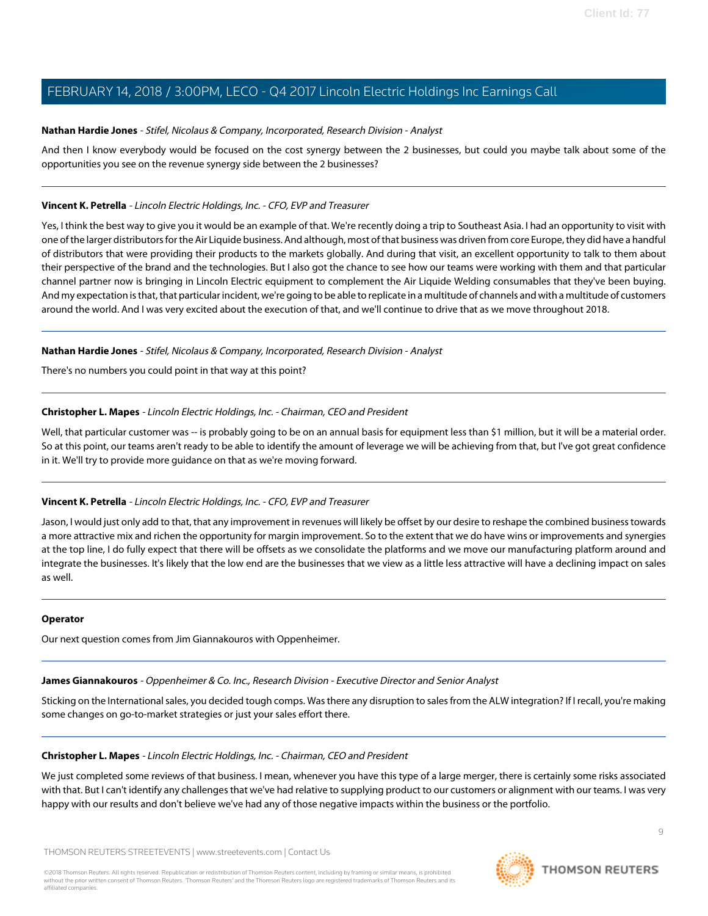# **Nathan Hardie Jones** - Stifel, Nicolaus & Company, Incorporated, Research Division - Analyst

And then I know everybody would be focused on the cost synergy between the 2 businesses, but could you maybe talk about some of the opportunities you see on the revenue synergy side between the 2 businesses?

# **Vincent K. Petrella** - Lincoln Electric Holdings, Inc. - CFO, EVP and Treasurer

Yes, I think the best way to give you it would be an example of that. We're recently doing a trip to Southeast Asia. I had an opportunity to visit with one of the larger distributors for the Air Liquide business. And although, most of that business was driven from core Europe, they did have a handful of distributors that were providing their products to the markets globally. And during that visit, an excellent opportunity to talk to them about their perspective of the brand and the technologies. But I also got the chance to see how our teams were working with them and that particular channel partner now is bringing in Lincoln Electric equipment to complement the Air Liquide Welding consumables that they've been buying. And my expectation is that, that particular incident, we're going to be able to replicate in a multitude of channels and with a multitude of customers around the world. And I was very excited about the execution of that, and we'll continue to drive that as we move throughout 2018.

# **Nathan Hardie Jones** - Stifel, Nicolaus & Company, Incorporated, Research Division - Analyst

There's no numbers you could point in that way at this point?

# **Christopher L. Mapes** - Lincoln Electric Holdings, Inc. - Chairman, CEO and President

Well, that particular customer was -- is probably going to be on an annual basis for equipment less than \$1 million, but it will be a material order. So at this point, our teams aren't ready to be able to identify the amount of leverage we will be achieving from that, but I've got great confidence in it. We'll try to provide more guidance on that as we're moving forward.

# **Vincent K. Petrella** - Lincoln Electric Holdings, Inc. - CFO, EVP and Treasurer

Jason, I would just only add to that, that any improvement in revenues will likely be offset by our desire to reshape the combined business towards a more attractive mix and richen the opportunity for margin improvement. So to the extent that we do have wins or improvements and synergies at the top line, I do fully expect that there will be offsets as we consolidate the platforms and we move our manufacturing platform around and integrate the businesses. It's likely that the low end are the businesses that we view as a little less attractive will have a declining impact on sales as well.

### <span id="page-8-0"></span>**Operator**

Our next question comes from Jim Giannakouros with Oppenheimer.

# **James Giannakouros** - Oppenheimer & Co. Inc., Research Division - Executive Director and Senior Analyst

Sticking on the International sales, you decided tough comps. Was there any disruption to sales from the ALW integration? If I recall, you're making some changes on go-to-market strategies or just your sales effort there.

### **Christopher L. Mapes** - Lincoln Electric Holdings, Inc. - Chairman, CEO and President

We just completed some reviews of that business. I mean, whenever you have this type of a large merger, there is certainly some risks associated with that. But I can't identify any challenges that we've had relative to supplying product to our customers or alignment with our teams. I was very happy with our results and don't believe we've had any of those negative impacts within the business or the portfolio.

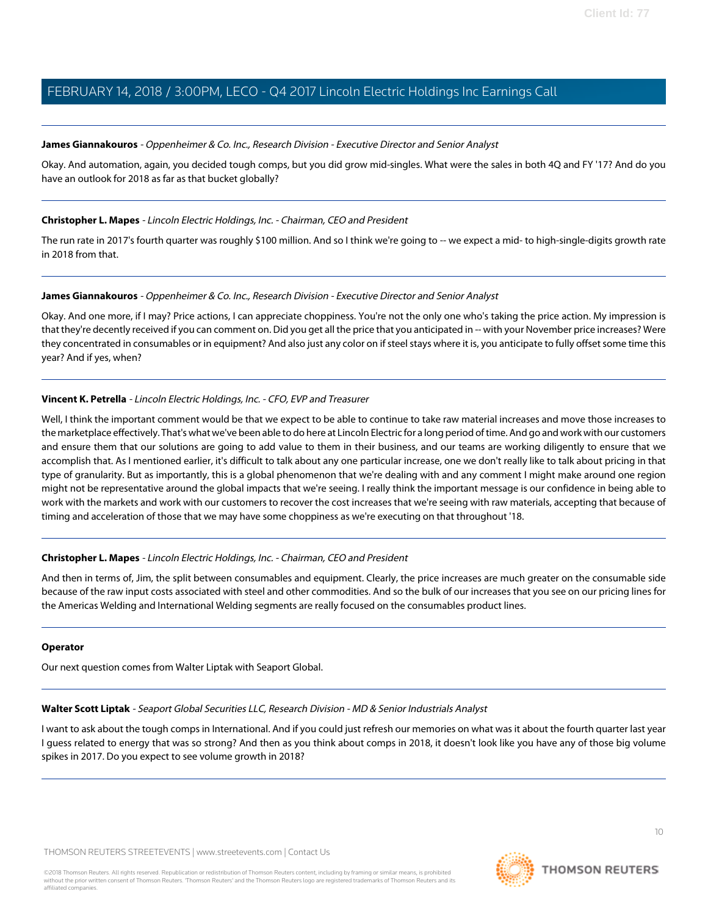# **James Giannakouros** - Oppenheimer & Co. Inc., Research Division - Executive Director and Senior Analyst

Okay. And automation, again, you decided tough comps, but you did grow mid-singles. What were the sales in both 4Q and FY '17? And do you have an outlook for 2018 as far as that bucket globally?

# **Christopher L. Mapes** - Lincoln Electric Holdings, Inc. - Chairman, CEO and President

The run rate in 2017's fourth quarter was roughly \$100 million. And so I think we're going to -- we expect a mid- to high-single-digits growth rate in 2018 from that.

# **James Giannakouros** - Oppenheimer & Co. Inc., Research Division - Executive Director and Senior Analyst

Okay. And one more, if I may? Price actions, I can appreciate choppiness. You're not the only one who's taking the price action. My impression is that they're decently received if you can comment on. Did you get all the price that you anticipated in -- with your November price increases? Were they concentrated in consumables or in equipment? And also just any color on if steel stays where it is, you anticipate to fully offset some time this year? And if yes, when?

# **Vincent K. Petrella** - Lincoln Electric Holdings, Inc. - CFO, EVP and Treasurer

Well, I think the important comment would be that we expect to be able to continue to take raw material increases and move those increases to the marketplace effectively. That's what we've been able to do here at Lincoln Electric for a long period of time. And go and work with our customers and ensure them that our solutions are going to add value to them in their business, and our teams are working diligently to ensure that we accomplish that. As I mentioned earlier, it's difficult to talk about any one particular increase, one we don't really like to talk about pricing in that type of granularity. But as importantly, this is a global phenomenon that we're dealing with and any comment I might make around one region might not be representative around the global impacts that we're seeing. I really think the important message is our confidence in being able to work with the markets and work with our customers to recover the cost increases that we're seeing with raw materials, accepting that because of timing and acceleration of those that we may have some choppiness as we're executing on that throughout '18.

# **Christopher L. Mapes** - Lincoln Electric Holdings, Inc. - Chairman, CEO and President

And then in terms of, Jim, the split between consumables and equipment. Clearly, the price increases are much greater on the consumable side because of the raw input costs associated with steel and other commodities. And so the bulk of our increases that you see on our pricing lines for the Americas Welding and International Welding segments are really focused on the consumables product lines.

### <span id="page-9-0"></span>**Operator**

Our next question comes from Walter Liptak with Seaport Global.

**Walter Scott Liptak** - Seaport Global Securities LLC, Research Division - MD & Senior Industrials Analyst

I want to ask about the tough comps in International. And if you could just refresh our memories on what was it about the fourth quarter last year I guess related to energy that was so strong? And then as you think about comps in 2018, it doesn't look like you have any of those big volume spikes in 2017. Do you expect to see volume growth in 2018?

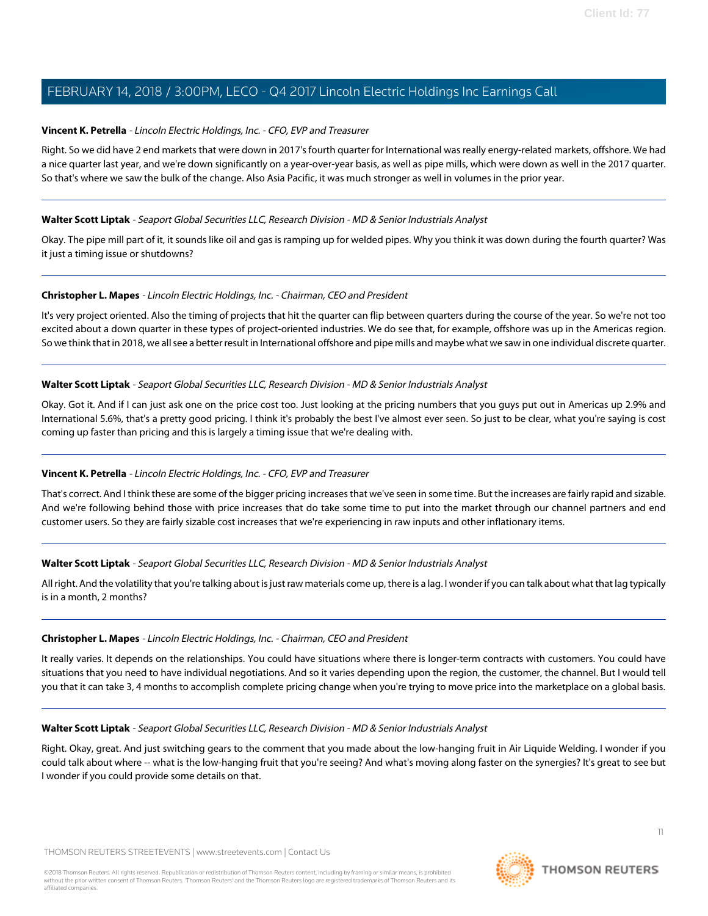# **Vincent K. Petrella** - Lincoln Electric Holdings, Inc. - CFO, EVP and Treasurer

Right. So we did have 2 end markets that were down in 2017's fourth quarter for International was really energy-related markets, offshore. We had a nice quarter last year, and we're down significantly on a year-over-year basis, as well as pipe mills, which were down as well in the 2017 quarter. So that's where we saw the bulk of the change. Also Asia Pacific, it was much stronger as well in volumes in the prior year.

# **Walter Scott Liptak** - Seaport Global Securities LLC, Research Division - MD & Senior Industrials Analyst

Okay. The pipe mill part of it, it sounds like oil and gas is ramping up for welded pipes. Why you think it was down during the fourth quarter? Was it just a timing issue or shutdowns?

# **Christopher L. Mapes** - Lincoln Electric Holdings, Inc. - Chairman, CEO and President

It's very project oriented. Also the timing of projects that hit the quarter can flip between quarters during the course of the year. So we're not too excited about a down quarter in these types of project-oriented industries. We do see that, for example, offshore was up in the Americas region. So we think that in 2018, we all see a better result in International offshore and pipe mills and maybe what we saw in one individual discrete quarter.

# **Walter Scott Liptak** - Seaport Global Securities LLC, Research Division - MD & Senior Industrials Analyst

Okay. Got it. And if I can just ask one on the price cost too. Just looking at the pricing numbers that you guys put out in Americas up 2.9% and International 5.6%, that's a pretty good pricing. I think it's probably the best I've almost ever seen. So just to be clear, what you're saying is cost coming up faster than pricing and this is largely a timing issue that we're dealing with.

# **Vincent K. Petrella** - Lincoln Electric Holdings, Inc. - CFO, EVP and Treasurer

That's correct. And I think these are some of the bigger pricing increases that we've seen in some time. But the increases are fairly rapid and sizable. And we're following behind those with price increases that do take some time to put into the market through our channel partners and end customer users. So they are fairly sizable cost increases that we're experiencing in raw inputs and other inflationary items.

# **Walter Scott Liptak** - Seaport Global Securities LLC, Research Division - MD & Senior Industrials Analyst

All right. And the volatility that you're talking about is just raw materials come up, there is a lag. I wonder if you can talk about what that lag typically is in a month, 2 months?

# **Christopher L. Mapes** - Lincoln Electric Holdings, Inc. - Chairman, CEO and President

It really varies. It depends on the relationships. You could have situations where there is longer-term contracts with customers. You could have situations that you need to have individual negotiations. And so it varies depending upon the region, the customer, the channel. But I would tell you that it can take 3, 4 months to accomplish complete pricing change when you're trying to move price into the marketplace on a global basis.

### **Walter Scott Liptak** - Seaport Global Securities LLC, Research Division - MD & Senior Industrials Analyst

Right. Okay, great. And just switching gears to the comment that you made about the low-hanging fruit in Air Liquide Welding. I wonder if you could talk about where -- what is the low-hanging fruit that you're seeing? And what's moving along faster on the synergies? It's great to see but I wonder if you could provide some details on that.

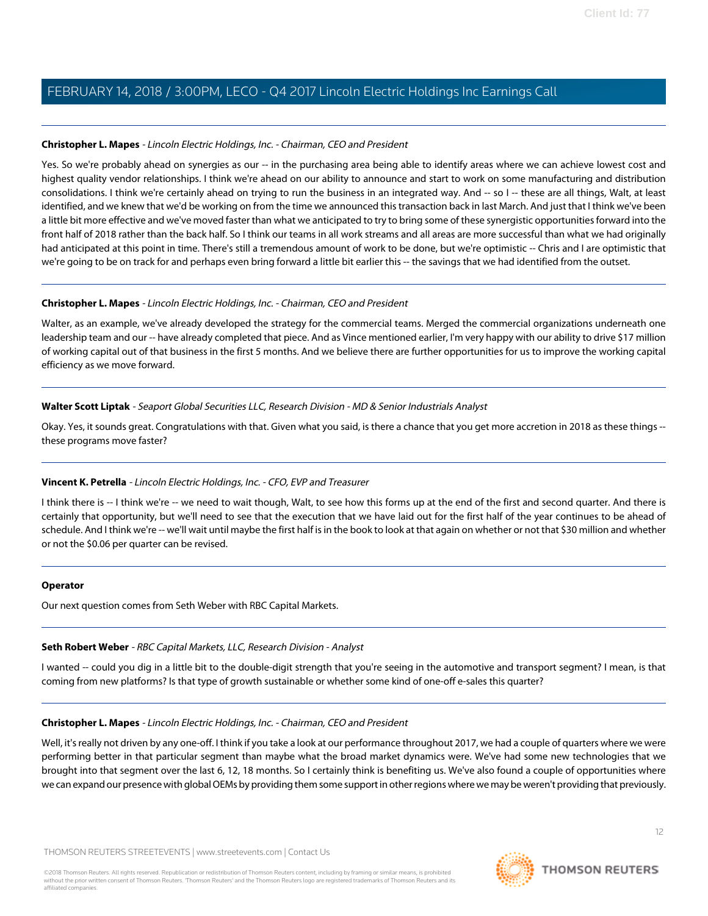# **Christopher L. Mapes** - Lincoln Electric Holdings, Inc. - Chairman, CEO and President

Yes. So we're probably ahead on synergies as our -- in the purchasing area being able to identify areas where we can achieve lowest cost and highest quality vendor relationships. I think we're ahead on our ability to announce and start to work on some manufacturing and distribution consolidations. I think we're certainly ahead on trying to run the business in an integrated way. And -- so I -- these are all things, Walt, at least identified, and we knew that we'd be working on from the time we announced this transaction back in last March. And just that I think we've been a little bit more effective and we've moved faster than what we anticipated to try to bring some of these synergistic opportunities forward into the front half of 2018 rather than the back half. So I think our teams in all work streams and all areas are more successful than what we had originally had anticipated at this point in time. There's still a tremendous amount of work to be done, but we're optimistic -- Chris and I are optimistic that we're going to be on track for and perhaps even bring forward a little bit earlier this -- the savings that we had identified from the outset.

# **Christopher L. Mapes** - Lincoln Electric Holdings, Inc. - Chairman, CEO and President

Walter, as an example, we've already developed the strategy for the commercial teams. Merged the commercial organizations underneath one leadership team and our -- have already completed that piece. And as Vince mentioned earlier, I'm very happy with our ability to drive \$17 million of working capital out of that business in the first 5 months. And we believe there are further opportunities for us to improve the working capital efficiency as we move forward.

# **Walter Scott Liptak** - Seaport Global Securities LLC, Research Division - MD & Senior Industrials Analyst

Okay. Yes, it sounds great. Congratulations with that. Given what you said, is there a chance that you get more accretion in 2018 as these things - these programs move faster?

# **Vincent K. Petrella** - Lincoln Electric Holdings, Inc. - CFO, EVP and Treasurer

I think there is -- I think we're -- we need to wait though, Walt, to see how this forms up at the end of the first and second quarter. And there is certainly that opportunity, but we'll need to see that the execution that we have laid out for the first half of the year continues to be ahead of schedule. And I think we're -- we'll wait until maybe the first half is in the book to look at that again on whether or not that \$30 million and whether or not the \$0.06 per quarter can be revised.

### <span id="page-11-0"></span>**Operator**

Our next question comes from Seth Weber with RBC Capital Markets.

# **Seth Robert Weber** - RBC Capital Markets, LLC, Research Division - Analyst

I wanted -- could you dig in a little bit to the double-digit strength that you're seeing in the automotive and transport segment? I mean, is that coming from new platforms? Is that type of growth sustainable or whether some kind of one-off e-sales this quarter?

# **Christopher L. Mapes** - Lincoln Electric Holdings, Inc. - Chairman, CEO and President

Well, it's really not driven by any one-off. I think if you take a look at our performance throughout 2017, we had a couple of quarters where we were performing better in that particular segment than maybe what the broad market dynamics were. We've had some new technologies that we brought into that segment over the last 6, 12, 18 months. So I certainly think is benefiting us. We've also found a couple of opportunities where we can expand our presence with global OEMs by providing them some support in other regions where we may be weren't providing that previously.

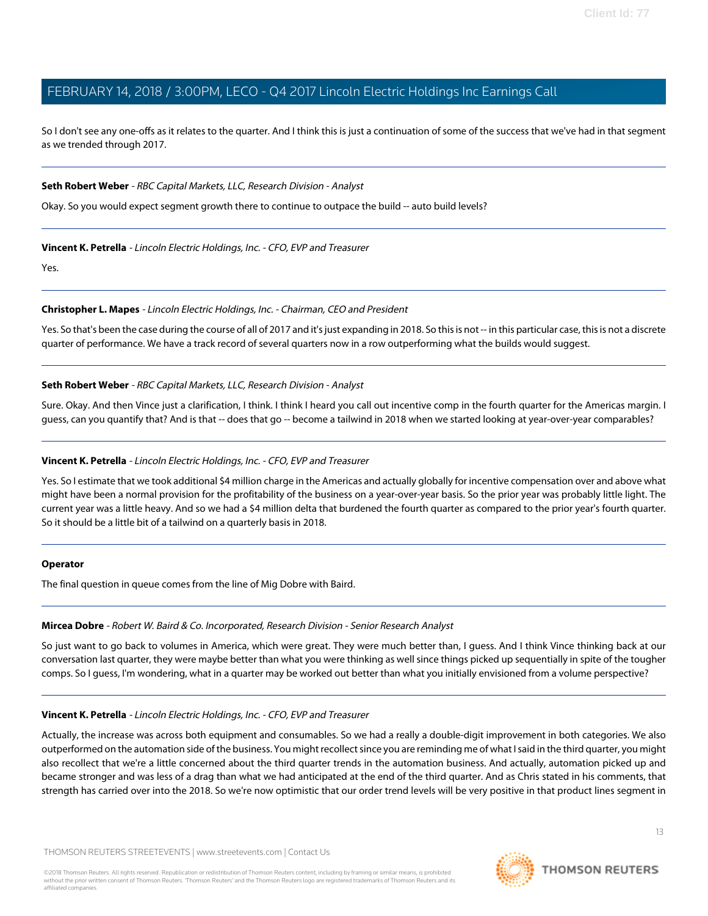So I don't see any one-offs as it relates to the quarter. And I think this is just a continuation of some of the success that we've had in that segment as we trended through 2017.

# **Seth Robert Weber** - RBC Capital Markets, LLC, Research Division - Analyst

Okay. So you would expect segment growth there to continue to outpace the build -- auto build levels?

# **Vincent K. Petrella** - Lincoln Electric Holdings, Inc. - CFO, EVP and Treasurer

Yes.

# **Christopher L. Mapes** - Lincoln Electric Holdings, Inc. - Chairman, CEO and President

Yes. So that's been the case during the course of all of 2017 and it's just expanding in 2018. So this is not -- in this particular case, this is not a discrete quarter of performance. We have a track record of several quarters now in a row outperforming what the builds would suggest.

# **Seth Robert Weber** - RBC Capital Markets, LLC, Research Division - Analyst

Sure. Okay. And then Vince just a clarification, I think. I think I heard you call out incentive comp in the fourth quarter for the Americas margin. I guess, can you quantify that? And is that -- does that go -- become a tailwind in 2018 when we started looking at year-over-year comparables?

### **Vincent K. Petrella** - Lincoln Electric Holdings, Inc. - CFO, EVP and Treasurer

Yes. So I estimate that we took additional \$4 million charge in the Americas and actually globally for incentive compensation over and above what might have been a normal provision for the profitability of the business on a year-over-year basis. So the prior year was probably little light. The current year was a little heavy. And so we had a \$4 million delta that burdened the fourth quarter as compared to the prior year's fourth quarter. So it should be a little bit of a tailwind on a quarterly basis in 2018.

### <span id="page-12-0"></span>**Operator**

The final question in queue comes from the line of Mig Dobre with Baird.

### **Mircea Dobre** - Robert W. Baird & Co. Incorporated, Research Division - Senior Research Analyst

So just want to go back to volumes in America, which were great. They were much better than, I guess. And I think Vince thinking back at our conversation last quarter, they were maybe better than what you were thinking as well since things picked up sequentially in spite of the tougher comps. So I guess, I'm wondering, what in a quarter may be worked out better than what you initially envisioned from a volume perspective?

### **Vincent K. Petrella** - Lincoln Electric Holdings, Inc. - CFO, EVP and Treasurer

Actually, the increase was across both equipment and consumables. So we had a really a double-digit improvement in both categories. We also outperformed on the automation side of the business. You might recollect since you are reminding me of what I said in the third quarter, you might also recollect that we're a little concerned about the third quarter trends in the automation business. And actually, automation picked up and became stronger and was less of a drag than what we had anticipated at the end of the third quarter. And as Chris stated in his comments, that strength has carried over into the 2018. So we're now optimistic that our order trend levels will be very positive in that product lines segment in

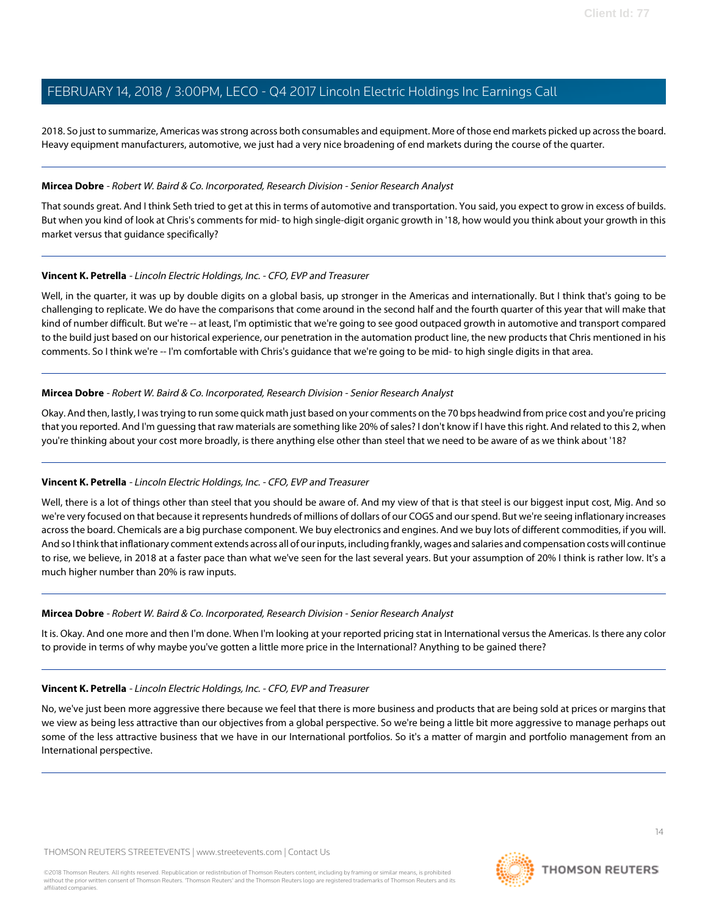2018. So just to summarize, Americas was strong across both consumables and equipment. More of those end markets picked up across the board. Heavy equipment manufacturers, automotive, we just had a very nice broadening of end markets during the course of the quarter.

### **Mircea Dobre** - Robert W. Baird & Co. Incorporated, Research Division - Senior Research Analyst

That sounds great. And I think Seth tried to get at this in terms of automotive and transportation. You said, you expect to grow in excess of builds. But when you kind of look at Chris's comments for mid- to high single-digit organic growth in '18, how would you think about your growth in this market versus that guidance specifically?

### **Vincent K. Petrella** - Lincoln Electric Holdings, Inc. - CFO, EVP and Treasurer

Well, in the quarter, it was up by double digits on a global basis, up stronger in the Americas and internationally. But I think that's going to be challenging to replicate. We do have the comparisons that come around in the second half and the fourth quarter of this year that will make that kind of number difficult. But we're -- at least, I'm optimistic that we're going to see good outpaced growth in automotive and transport compared to the build just based on our historical experience, our penetration in the automation product line, the new products that Chris mentioned in his comments. So I think we're -- I'm comfortable with Chris's guidance that we're going to be mid- to high single digits in that area.

### **Mircea Dobre** - Robert W. Baird & Co. Incorporated, Research Division - Senior Research Analyst

Okay. And then, lastly, I was trying to run some quick math just based on your comments on the 70 bps headwind from price cost and you're pricing that you reported. And I'm guessing that raw materials are something like 20% of sales? I don't know if I have this right. And related to this 2, when you're thinking about your cost more broadly, is there anything else other than steel that we need to be aware of as we think about '18?

### **Vincent K. Petrella** - Lincoln Electric Holdings, Inc. - CFO, EVP and Treasurer

Well, there is a lot of things other than steel that you should be aware of. And my view of that is that steel is our biggest input cost, Mig. And so we're very focused on that because it represents hundreds of millions of dollars of our COGS and our spend. But we're seeing inflationary increases across the board. Chemicals are a big purchase component. We buy electronics and engines. And we buy lots of different commodities, if you will. And so I think that inflationary comment extends across all of our inputs, including frankly, wages and salaries and compensation costs will continue to rise, we believe, in 2018 at a faster pace than what we've seen for the last several years. But your assumption of 20% I think is rather low. It's a much higher number than 20% is raw inputs.

#### **Mircea Dobre** - Robert W. Baird & Co. Incorporated, Research Division - Senior Research Analyst

It is. Okay. And one more and then I'm done. When I'm looking at your reported pricing stat in International versus the Americas. Is there any color to provide in terms of why maybe you've gotten a little more price in the International? Anything to be gained there?

#### **Vincent K. Petrella** - Lincoln Electric Holdings, Inc. - CFO, EVP and Treasurer

No, we've just been more aggressive there because we feel that there is more business and products that are being sold at prices or margins that we view as being less attractive than our objectives from a global perspective. So we're being a little bit more aggressive to manage perhaps out some of the less attractive business that we have in our International portfolios. So it's a matter of margin and portfolio management from an International perspective.

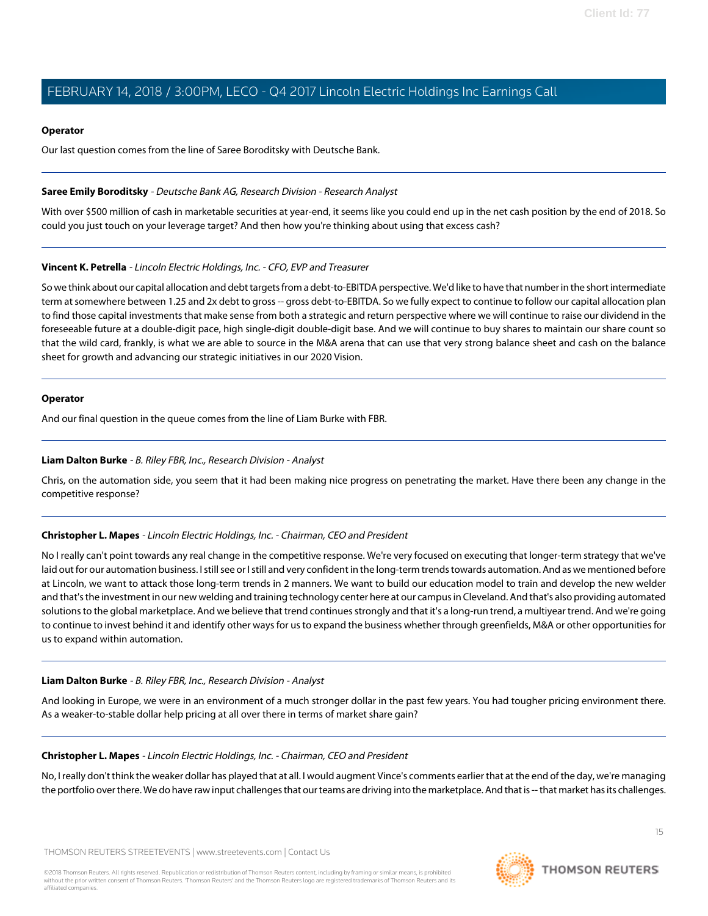### **Operator**

Our last question comes from the line of Saree Boroditsky with Deutsche Bank.

### **Saree Emily Boroditsky** - Deutsche Bank AG, Research Division - Research Analyst

With over \$500 million of cash in marketable securities at year-end, it seems like you could end up in the net cash position by the end of 2018. So could you just touch on your leverage target? And then how you're thinking about using that excess cash?

### **Vincent K. Petrella** - Lincoln Electric Holdings, Inc. - CFO, EVP and Treasurer

So we think about our capital allocation and debt targets from a debt-to-EBITDA perspective. We'd like to have that number in the short intermediate term at somewhere between 1.25 and 2x debt to gross -- gross debt-to-EBITDA. So we fully expect to continue to follow our capital allocation plan to find those capital investments that make sense from both a strategic and return perspective where we will continue to raise our dividend in the foreseeable future at a double-digit pace, high single-digit double-digit base. And we will continue to buy shares to maintain our share count so that the wild card, frankly, is what we are able to source in the M&A arena that can use that very strong balance sheet and cash on the balance sheet for growth and advancing our strategic initiatives in our 2020 Vision.

#### **Operator**

<span id="page-14-0"></span>And our final question in the queue comes from the line of Liam Burke with FBR.

### **Liam Dalton Burke** - B. Riley FBR, Inc., Research Division - Analyst

Chris, on the automation side, you seem that it had been making nice progress on penetrating the market. Have there been any change in the competitive response?

### **Christopher L. Mapes** - Lincoln Electric Holdings, Inc. - Chairman, CEO and President

No I really can't point towards any real change in the competitive response. We're very focused on executing that longer-term strategy that we've laid out for our automation business. I still see or I still and very confident in the long-term trends towards automation. And as we mentioned before at Lincoln, we want to attack those long-term trends in 2 manners. We want to build our education model to train and develop the new welder and that's the investment in our new welding and training technology center here at our campus in Cleveland. And that's also providing automated solutions to the global marketplace. And we believe that trend continues strongly and that it's a long-run trend, a multiyear trend. And we're going to continue to invest behind it and identify other ways for us to expand the business whether through greenfields, M&A or other opportunities for us to expand within automation.

### **Liam Dalton Burke** - B. Riley FBR, Inc., Research Division - Analyst

And looking in Europe, we were in an environment of a much stronger dollar in the past few years. You had tougher pricing environment there. As a weaker-to-stable dollar help pricing at all over there in terms of market share gain?

### **Christopher L. Mapes** - Lincoln Electric Holdings, Inc. - Chairman, CEO and President

No, I really don't think the weaker dollar has played that at all. I would augment Vince's comments earlier that at the end of the day, we're managing the portfolio over there. We do have raw input challenges that our teams are driving into the marketplace. And that is -- that market has its challenges.